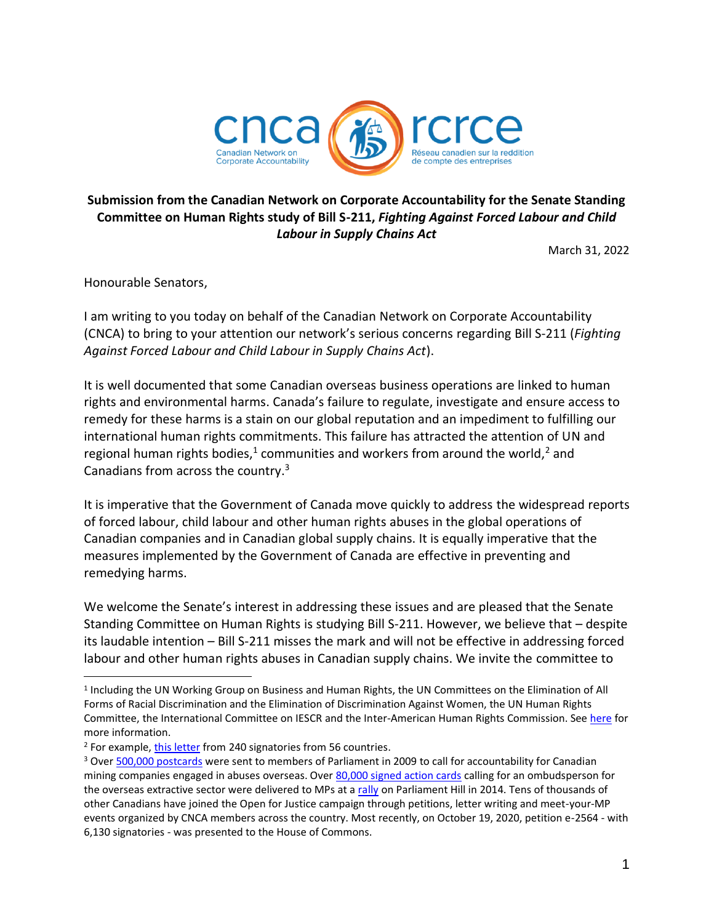

# **Submission from the Canadian Network on Corporate Accountability for the Senate Standing Committee on Human Rights study of Bill S-211,** *Fighting Against Forced Labour and Child Labour in Supply Chains Act*

March 31, 2022

Honourable Senators,

I am writing to you today on behalf of the Canadian Network on Corporate Accountability (CNCA) to bring to your attention our network's serious concerns regarding Bill S-211 (*Fighting Against Forced Labour and Child Labour in Supply Chains Act*).

It is well documented that some Canadian overseas business operations are linked to human rights and environmental harms. Canada's failure to regulate, investigate and ensure access to remedy for these harms is a stain on our global reputation and an impediment to fulfilling our international human rights commitments. This failure has attracted the attention of UN and regional human rights bodies,<sup>1</sup> communities and workers from around the world,<sup>2</sup> and Canadians from across the country.<sup>3</sup>

It is imperative that the Government of Canada move quickly to address the widespread reports of forced labour, child labour and other human rights abuses in the global operations of Canadian companies and in Canadian global supply chains. It is equally imperative that the measures implemented by the Government of Canada are effective in preventing and remedying harms.

We welcome the Senate's interest in addressing these issues and are pleased that the Senate Standing Committee on Human Rights is studying Bill S-211. However, we believe that – despite its laudable intention – Bill S-211 misses the mark and will not be effective in addressing forced labour and other human rights abuses in Canadian supply chains. We invite the committee to

<sup>&</sup>lt;sup>1</sup> Including the UN Working Group on Business and Human Rights, the UN Committees on the Elimination of All Forms of Racial Discrimination and the Elimination of Discrimination Against Women, the UN Human Rights Committee, the International Committee on IESCR and the Inter-American Human Rights Commission. See [here](http://cnca-rcrce.ca/recent-works/canadas-international-human-rights-reputation-damaged-by-absence-of-ombudsperson/) for more information.

<sup>2</sup> For example[, this letter](https://www.devp.org/sites/www.devp.org/files/IMCE/files/press_releases/letter_trudeau_dec2018-en.pdf) from 240 signatories from 56 countries.

<sup>&</sup>lt;sup>3</sup> Ove[r 500,000 postcards](https://www.toronto.com/news-story/56686-pope-john-paul-students-make-difference-in-mining-legislation/) were sent to members of Parliament in 2009 to call for accountability for Canadian mining companies engaged in abuses overseas. Over [80,000 signed action cards](https://www.devp.org/en/ombudsman) calling for an ombudsperson for the overseas extractive sector were delivered to MPs at a [rally](https://www.devp.org/en/education/fall2013/rally) on Parliament Hill in 2014. Tens of thousands of other Canadians have joined the Open for Justice campaign through petitions, letter writing and meet-your-MP events organized by CNCA members across the country. Most recently, on October 19, 2020, petition e-2564 - with 6,130 signatories - was presented to the House of Commons.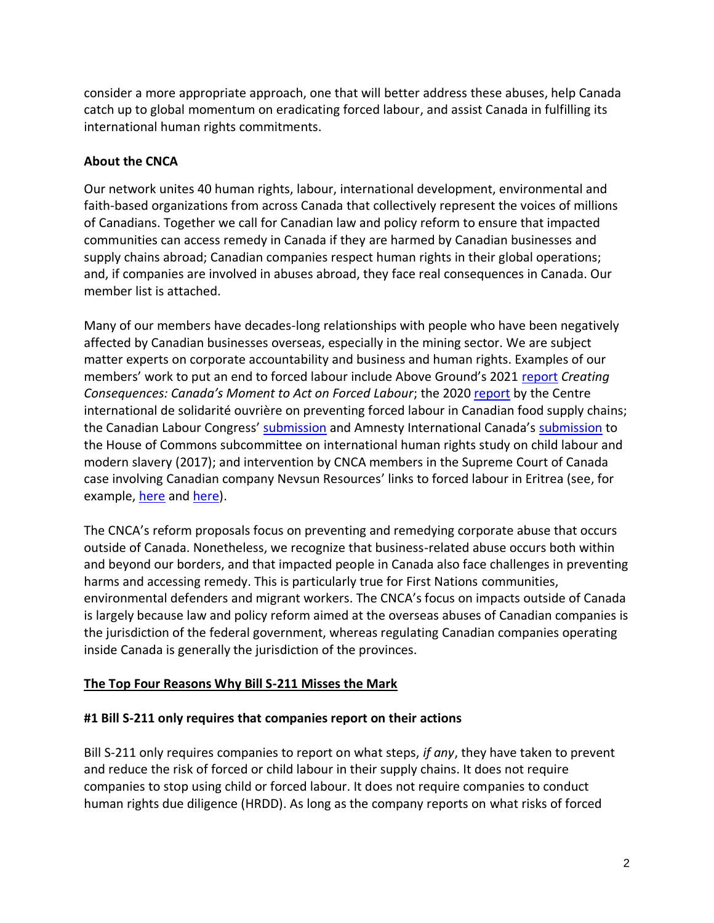consider a more appropriate approach, one that will better address these abuses, help Canada catch up to global momentum on eradicating forced labour, and assist Canada in fulfilling its international human rights commitments.

## **About the CNCA**

Our network unites 40 human rights, labour, international development, environmental and faith-based organizations from across Canada that collectively represent the voices of millions of Canadians. Together we call for Canadian law and policy reform to ensure that impacted communities can access remedy in Canada if they are harmed by Canadian businesses and supply chains abroad; Canadian companies respect human rights in their global operations; and, if companies are involved in abuses abroad, they face real consequences in Canada. Our member list is attached.

Many of our members have decades-long relationships with people who have been negatively affected by Canadian businesses overseas, especially in the mining sector. We are subject matter experts on corporate accountability and business and human rights. Examples of our members' work to put an end to forced labour include Above Ground's 2021 [report](https://aboveground.ngo/creatingconsequences/) *Creating Consequences: Canada's Moment to Act on Forced Labour*; the 2020 [report](https://www.ciso.qc.ca/wordpress/wp-content/uploads/Rapport-sur-les-pratiques-des-distributeurs-alimentaires.pdf) by the Centre international de solidarité ouvrière on preventing forced labour in Canadian food supply chains; the Canadian Labour Congress' [submission](https://www.ourcommons.ca/Content/Committee/421/SDIR/Brief/BR9658072/br-external/AmnestyInternationalCanada-e.pdf) and Amnesty International Canada's submission to the House of Commons subcommittee on international human rights study on child labour and modern slavery (2017); and intervention by CNCA members in the Supreme Court of Canada case involving Canadian company Nevsun Resources' links to forced labour in Eritrea (see, for example, [here](https://miningwatch.ca/news/2020/2/28/supreme-court-rules-canadian-courts-can-hear-slave-labour-lawsuit-against-canadian) and [here\)](https://www.amnesty.ca/news/mining-company-lawsuit-can-be-heard-canada-rules-supreme-court-historic-decision/).

The CNCA's reform proposals focus on preventing and remedying corporate abuse that occurs outside of Canada. Nonetheless, we recognize that business-related abuse occurs both within and beyond our borders, and that impacted people in Canada also face challenges in preventing harms and accessing remedy. This is particularly true for First Nations communities, environmental defenders and migrant workers. The CNCA's focus on impacts outside of Canada is largely because law and policy reform aimed at the overseas abuses of Canadian companies is the jurisdiction of the federal government, whereas regulating Canadian companies operating inside Canada is generally the jurisdiction of the provinces.

### **The Top Four Reasons Why Bill S-211 Misses the Mark**

#### **#1 Bill S-211 only requires that companies report on their actions**

Bill S-211 only requires companies to report on what steps, *if any*, they have taken to prevent and reduce the risk of forced or child labour in their supply chains. It does not require companies to stop using child or forced labour. It does not require companies to conduct human rights due diligence (HRDD). As long as the company reports on what risks of forced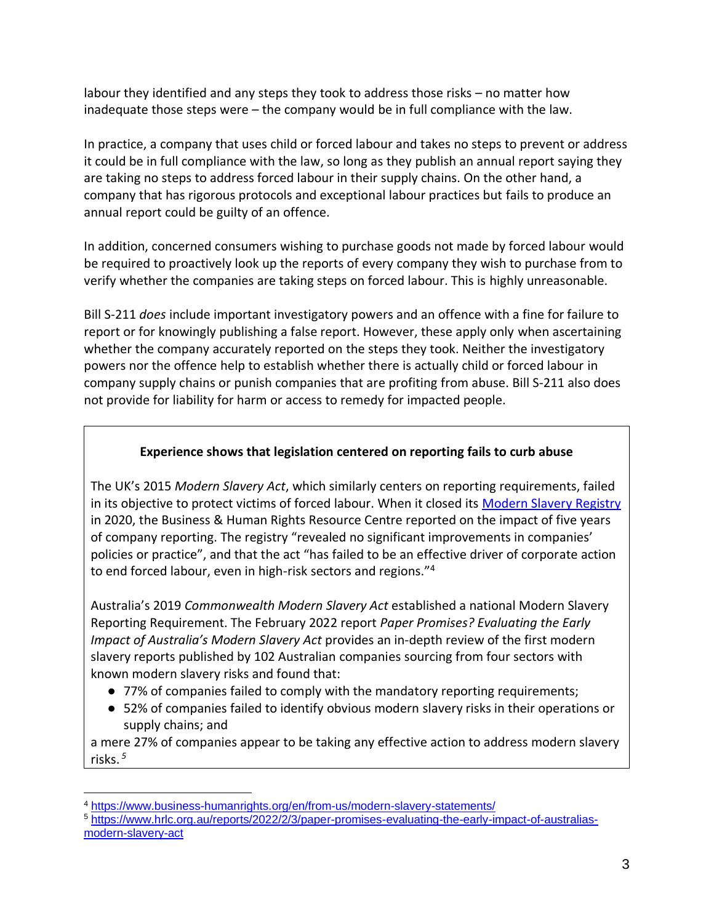labour they identified and any steps they took to address those risks – no matter how inadequate those steps were – the company would be in full compliance with the law.

In practice, a company that uses child or forced labour and takes no steps to prevent or address it could be in full compliance with the law, so long as they publish an annual report saying they are taking no steps to address forced labour in their supply chains. On the other hand, a company that has rigorous protocols and exceptional labour practices but fails to produce an annual report could be guilty of an offence.

In addition, concerned consumers wishing to purchase goods not made by forced labour would be required to proactively look up the reports of every company they wish to purchase from to verify whether the companies are taking steps on forced labour. This is highly unreasonable.

Bill S-211 *does* include important investigatory powers and an offence with a fine for failure to report or for knowingly publishing a false report. However, these apply only when ascertaining whether the company accurately reported on the steps they took. Neither the investigatory powers nor the offence help to establish whether there is actually child or forced labour in company supply chains or punish companies that are profiting from abuse. Bill S-211 also does not provide for liability for harm or access to remedy for impacted people.

## **Experience shows that legislation centered on reporting fails to curb abuse**

The UK's 2015 *Modern Slavery Act*, which similarly centers on reporting requirements, failed in its objective to protect victims of forced labour. When it closed its [Modern Slavery Registry](https://www.business-humanrights.org/en/from-us/modern-slavery-statements/) in 2020, the Business & Human Rights Resource Centre reported on the impact of five years of company reporting. The registry "revealed no significant improvements in companies' policies or practice", and that the act "has failed to be an effective driver of corporate action to end forced labour, even in high-risk sectors and regions."<sup>4</sup>

Australia's 2019 *Commonwealth Modern Slavery Act* established a national Modern Slavery Reporting Requirement. The February 2022 report *Paper Promises? Evaluating the Early Impact of Australia's Modern Slavery Act* provides an in-depth review of the first modern slavery reports published by 102 Australian companies sourcing from four sectors with known modern slavery risks and found that:

- 77% of companies failed to comply with the mandatory reporting requirements;
- 52% of companies failed to identify obvious modern slavery risks in their operations or supply chains; and

a mere 27% of companies appear to be taking any effective action to address modern slavery risks. *<sup>5</sup>*

<sup>4</sup> <https://www.business-humanrights.org/en/from-us/modern-slavery-statements/>

<sup>5</sup> [https://www.hrlc.org.au/reports/2022/2/3/paper-promises-evaluating-the-early-impact-of-australias](https://www.hrlc.org.au/reports/2022/2/3/paper-promises-evaluating-the-early-impact-of-australias-modern-slavery-act)[modern-slavery-act](https://www.hrlc.org.au/reports/2022/2/3/paper-promises-evaluating-the-early-impact-of-australias-modern-slavery-act)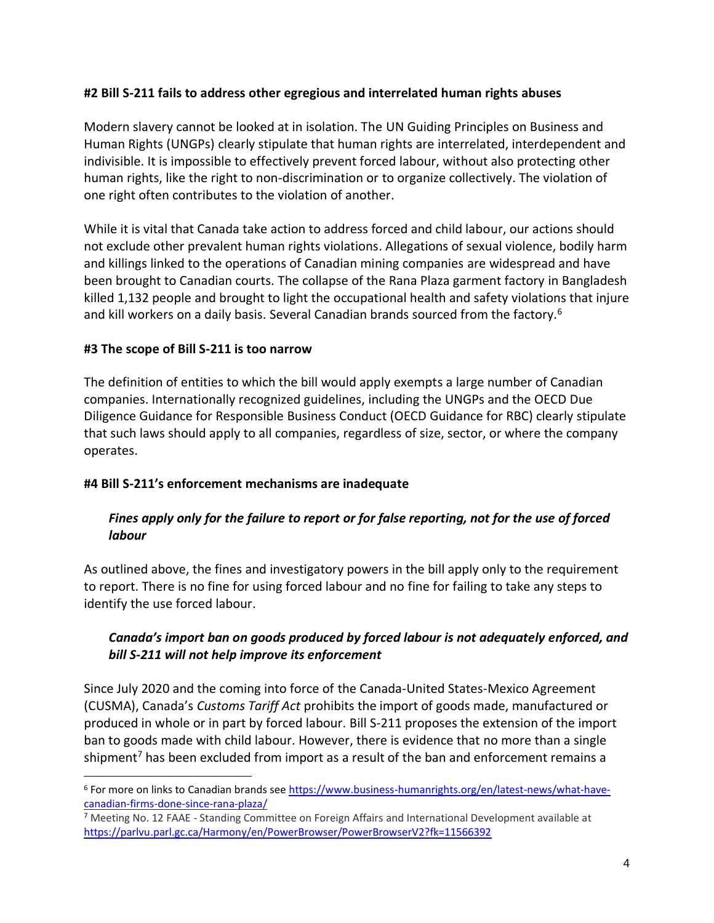### **#2 Bill S-211 fails to address other egregious and interrelated human rights abuses**

Modern slavery cannot be looked at in isolation. The UN Guiding Principles on Business and Human Rights (UNGPs) clearly stipulate that human rights are interrelated, interdependent and indivisible. It is impossible to effectively prevent forced labour, without also protecting other human rights, like the right to non-discrimination or to organize collectively. The violation of one right often contributes to the violation of another.

While it is vital that Canada take action to address forced and child labour, our actions should not exclude other prevalent human rights violations. Allegations of sexual violence, bodily harm and killings linked to the operations of Canadian mining companies are widespread and have been brought to Canadian courts. The collapse of the Rana Plaza garment factory in Bangladesh killed 1,132 people and brought to light the occupational health and safety violations that injure and kill workers on a daily basis. Several Canadian brands sourced from the factory.<sup>6</sup>

### **#3 The scope of Bill S-211 is too narrow**

The definition of entities to which the bill would apply exempts a large number of Canadian companies. Internationally recognized guidelines, including the UNGPs and the OECD Due Diligence Guidance for Responsible Business Conduct (OECD Guidance for RBC) clearly stipulate that such laws should apply to all companies, regardless of size, sector, or where the company operates.

### **#4 Bill S-211's enforcement mechanisms are inadequate**

## *Fines apply only for the failure to report or for false reporting, not for the use of forced labour*

As outlined above, the fines and investigatory powers in the bill apply only to the requirement to report. There is no fine for using forced labour and no fine for failing to take any steps to identify the use forced labour.

### *Canada's import ban on goods produced by forced labour is not adequately enforced, and bill S-211 will not help improve its enforcement*

Since July 2020 and the coming into force of the Canada-United States-Mexico Agreement (CUSMA), Canada's *Customs Tariff Act* prohibits the import of goods made, manufactured or produced in whole or in part by forced labour. Bill S-211 proposes the extension of the import ban to goods made with child labour. However, there is evidence that no more than a single shipment<sup>7</sup> has been excluded from import as a result of the ban and enforcement remains a

<sup>6</sup> For more on links to Canadian brands see [https://www.business-humanrights.org/en/latest-news/what-have](https://www.business-humanrights.org/en/latest-news/what-have-canadian-firms-done-since-rana-plaza/)[canadian-firms-done-since-rana-plaza/](https://www.business-humanrights.org/en/latest-news/what-have-canadian-firms-done-since-rana-plaza/)

<sup>&</sup>lt;sup>7</sup> Meeting No. 12 FAAE - Standing Committee on Foreign Affairs and International Development available at <https://parlvu.parl.gc.ca/Harmony/en/PowerBrowser/PowerBrowserV2?fk=11566392>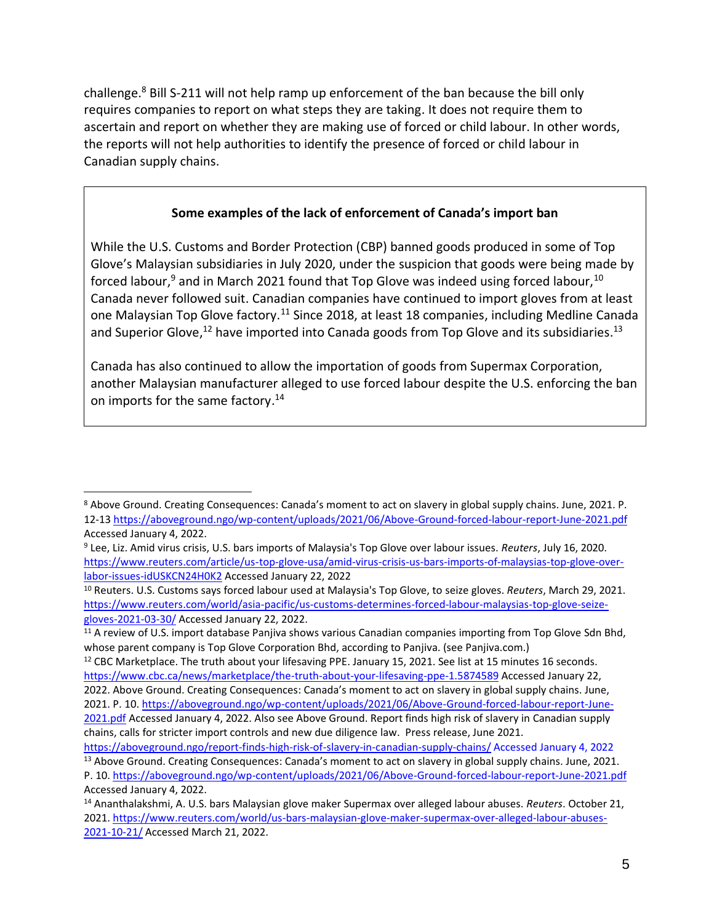challenge.<sup>8</sup> Bill S-211 will not help ramp up enforcement of the ban because the bill only requires companies to report on what steps they are taking. It does not require them to ascertain and report on whether they are making use of forced or child labour. In other words, the reports will not help authorities to identify the presence of forced or child labour in Canadian supply chains.

### **Some examples of the lack of enforcement of Canada's import ban**

While the U.S. Customs and Border Protection (CBP) banned goods produced in some of Top Glove's Malaysian subsidiaries in July 2020, under the suspicion that goods were being made by forced labour,<sup>9</sup> and in March 2021 found that Top Glove was indeed using forced labour,<sup>10</sup> Canada never followed suit. Canadian companies have continued to import gloves from at least one Malaysian Top Glove factory.<sup>11</sup> Since 2018, at least 18 companies, including Medline Canada and Superior Glove,<sup>12</sup> have imported into Canada goods from Top Glove and its subsidiaries.<sup>13</sup>

Canada has also continued to allow the importation of goods from Supermax Corporation, another Malaysian manufacturer alleged to use forced labour despite the U.S. enforcing the ban on imports for the same factory.<sup>14</sup>

<sup>8</sup> Above Ground. Creating Consequences: Canada's moment to act on slavery in global supply chains. June, 2021. P. 12-1[3 https://aboveground.ngo/wp-content/uploads/2021/06/Above-Ground-forced-labour-report-June-2021.pdf](https://aboveground.ngo/wp-content/uploads/2021/06/Above-Ground-forced-labour-report-June-2021.pdf) Accessed January 4, 2022.

<sup>9</sup> Lee, Liz. Amid virus crisis, U.S. bars imports of Malaysia's Top Glove over labour issues. *Reuters*, July 16, 2020. [https://www.reuters.com/article/us-top-glove-usa/amid-virus-crisis-us-bars-imports-of-malaysias-top-glove-over](https://www.reuters.com/article/us-top-glove-usa/amid-virus-crisis-us-bars-imports-of-malaysias-top-glove-over-labor-issues-idUSKCN24H0K2)[labor-issues-idUSKCN24H0K2](https://www.reuters.com/article/us-top-glove-usa/amid-virus-crisis-us-bars-imports-of-malaysias-top-glove-over-labor-issues-idUSKCN24H0K2) Accessed January 22, 2022

<sup>10</sup> Reuters. U.S. Customs says forced labour used at Malaysia's Top Glove, to seize gloves. *Reuters*, March 29, 2021. [https://www.reuters.com/world/asia-pacific/us-customs-determines-forced-labour-malaysias-top-glove-seize](https://www.reuters.com/world/asia-pacific/us-customs-determines-forced-labour-malaysias-top-glove-seize-gloves-2021-03-30/)[gloves-2021-03-30/](https://www.reuters.com/world/asia-pacific/us-customs-determines-forced-labour-malaysias-top-glove-seize-gloves-2021-03-30/) Accessed January 22, 2022.

<sup>&</sup>lt;sup>11</sup> A review of U.S. import database Panjiva shows various Canadian companies importing from Top Glove Sdn Bhd, whose parent company is Top Glove Corporation Bhd, according to Panjiva. (see Panjiva.com.)

<sup>&</sup>lt;sup>12</sup> CBC Marketplace. The truth about your lifesaving PPE. January 15, 2021. See list at 15 minutes 16 seconds. <https://www.cbc.ca/news/marketplace/the-truth-about-your-lifesaving-ppe-1.5874589> Accessed January 22, 2022. Above Ground. Creating Consequences: Canada's moment to act on slavery in global supply chains. June, 2021. P. 10. [https://aboveground.ngo/wp-content/uploads/2021/06/Above-Ground-forced-labour-report-June-](https://aboveground.ngo/wp-content/uploads/2021/06/Above-Ground-forced-labour-report-June-2021.pdf)[2021.pdf](https://aboveground.ngo/wp-content/uploads/2021/06/Above-Ground-forced-labour-report-June-2021.pdf) Accessed January 4, 2022. Also see Above Ground. Report finds high risk of slavery in Canadian supply chains, calls for stricter import controls and new due diligence law. Press release, June 2021.

<https://aboveground.ngo/report-finds-high-risk-of-slavery-in-canadian-supply-chains/> Accessed January 4, 2022 <sup>13</sup> Above Ground. Creating Consequences: Canada's moment to act on slavery in global supply chains. June, 2021. P. 10.<https://aboveground.ngo/wp-content/uploads/2021/06/Above-Ground-forced-labour-report-June-2021.pdf> Accessed January 4, 2022.

<sup>14</sup> Ananthalakshmi, A. U.S. bars Malaysian glove maker Supermax over alleged labour abuses. *Reuters*. October 21, 2021. [https://www.reuters.com/world/us-bars-malaysian-glove-maker-supermax-over-alleged-labour-abuses-](https://www.reuters.com/world/us-bars-malaysian-glove-maker-supermax-over-alleged-labour-abuses-2021-10-21/)[2021-10-21/](https://www.reuters.com/world/us-bars-malaysian-glove-maker-supermax-over-alleged-labour-abuses-2021-10-21/) Accessed March 21, 2022.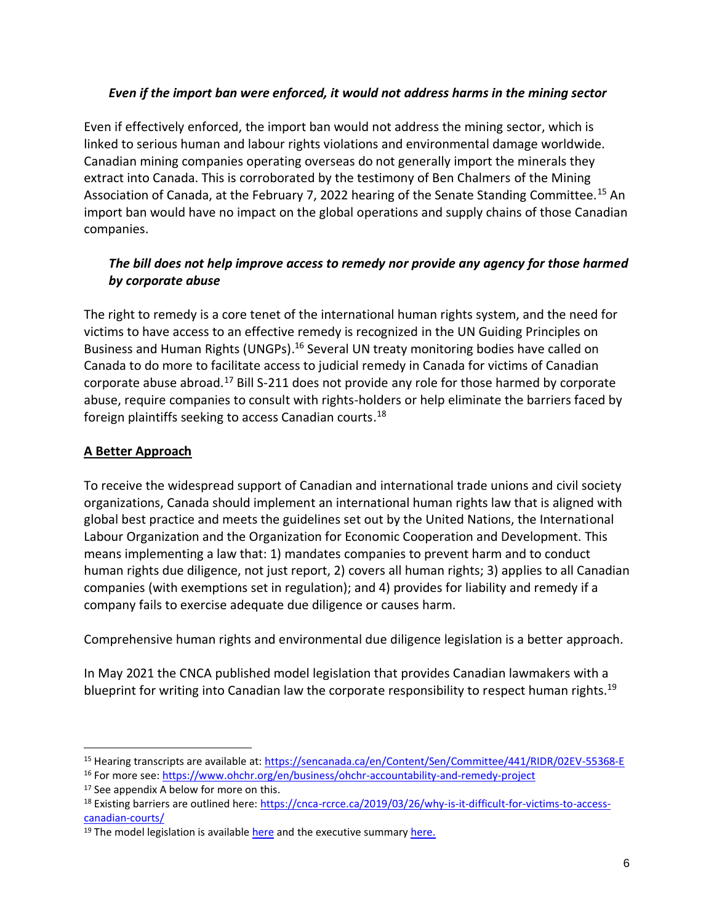### *Even if the import ban were enforced, it would not address harms in the mining sector*

Even if effectively enforced, the import ban would not address the mining sector, which is linked to serious human and labour rights violations and environmental damage worldwide. Canadian mining companies operating overseas do not generally import the minerals they extract into Canada. This is corroborated by the testimony of Ben Chalmers of the Mining Association of Canada, at the February 7, 2022 hearing of the Senate Standing Committee.<sup>15</sup> An import ban would have no impact on the global operations and supply chains of those Canadian companies.

# *The bill does not help improve access to remedy nor provide any agency for those harmed by corporate abuse*

The right to remedy is a core tenet of the international human rights system, and the need for victims to have access to an effective remedy is recognized in the [UN Guiding Principles on](https://www.ohchr.org/sites/default/files/Documents/Publications/GuidingPrinciplesBusinessHR_EN.pdf)  [Business and Human Rights \(UNGPs\).](https://www.ohchr.org/sites/default/files/Documents/Publications/GuidingPrinciplesBusinessHR_EN.pdf)<sup>16</sup> Several UN treaty monitoring bodies have called on Canada to do more to facilitate access to judicial remedy in Canada for victims of Canadian corporate abuse abroad.<sup>17</sup> Bill S-211 does not provide any role for those harmed by corporate abuse, require companies to consult with rights-holders or help eliminate the barriers faced by foreign plaintiffs seeking to access Canadian courts.<sup>18</sup>

# **A Better Approach**

To receive the widespread support of Canadian and international trade unions and civil society organizations, Canada should implement an international human rights law that is aligned with global best practice and meets the guidelines set out by the United Nations, the International Labour Organization and the Organization for Economic Cooperation and Development. This means implementing a law that: 1) mandates companies to prevent harm and to conduct human rights due diligence, not just report, 2) covers all human rights; 3) applies to all Canadian companies (with exemptions set in regulation); and 4) provides for liability and remedy if a company fails to exercise adequate due diligence or causes harm.

Comprehensive human rights and environmental due diligence legislation is a better approach.

In May 2021 the CNCA published model legislation that provides Canadian lawmakers with a blueprint for writing into Canadian law the corporate responsibility to respect human rights.<sup>19</sup>

<sup>15</sup> Hearing transcripts are available at:<https://sencanada.ca/en/Content/Sen/Committee/441/RIDR/02EV-55368-E>

<sup>&</sup>lt;sup>16</sup> For more see:<https://www.ohchr.org/en/business/ohchr-accountability-and-remedy-project>

<sup>&</sup>lt;sup>17</sup> See appendix A below for more on this.

<sup>18</sup> Existing barriers are outlined here: [https://cnca-rcrce.ca/2019/03/26/why-is-it-difficult-for-victims-to-access](https://cnca-rcrce.ca/2019/03/26/why-is-it-difficult-for-victims-to-access-canadian-courts/)[canadian-courts/](https://cnca-rcrce.ca/2019/03/26/why-is-it-difficult-for-victims-to-access-canadian-courts/)

<sup>&</sup>lt;sup>19</sup> The model legislation is available [here](https://cnca-rcrce.ca/site/wp-content/uploads/2021/05/The-Corporate-Respect-for-Human-Rights-and-the-Environment-Abroad-Act-May-31-2021.pdf) and the executive summar[y here.](https://cnca-rcrce.ca/site/wp-content/uploads/2021/05/Executive-Summary-Corporate-Respect-for-Human-Rights-and-the-Environment-Act.pdf)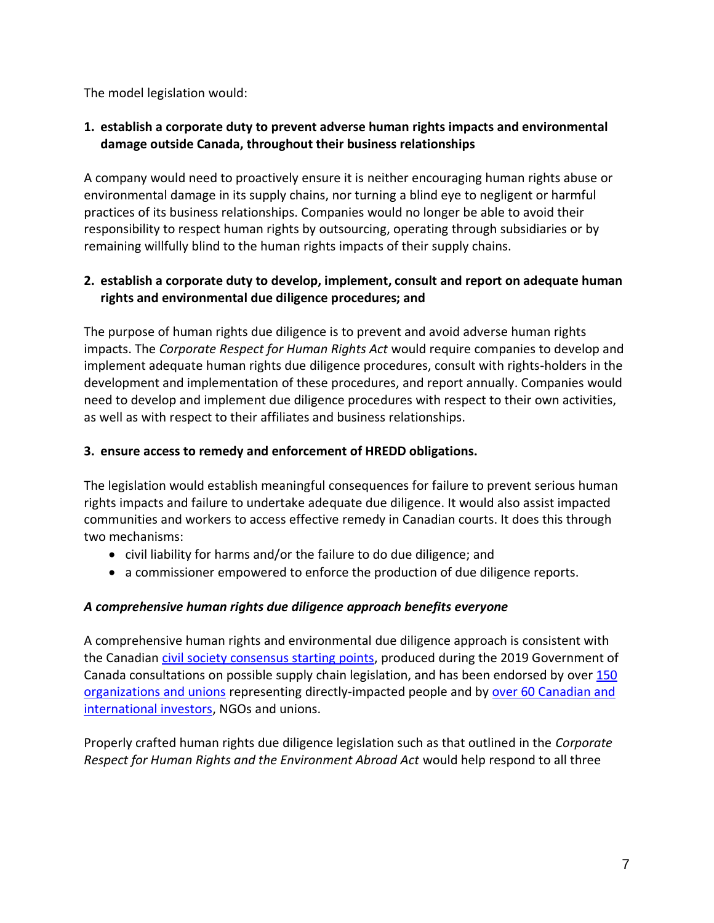The model legislation would:

# **1. establish a corporate duty to prevent adverse human rights impacts and environmental damage outside Canada, throughout their business relationships**

A company would need to proactively ensure it is neither encouraging human rights abuse or environmental damage in its supply chains, nor turning a blind eye to negligent or harmful practices of its business relationships. Companies would no longer be able to avoid their responsibility to respect human rights by outsourcing, operating through subsidiaries or by remaining willfully blind to the human rights impacts of their supply chains.

# **2. establish a corporate duty to develop, implement, consult and report on adequate human rights and environmental due diligence procedures; and**

The purpose of human rights due diligence is to prevent and avoid adverse human rights impacts. The *Corporate Respect for Human Rights Act* would require companies to develop and implement adequate human rights due diligence procedures, consult with rights-holders in the development and implementation of these procedures, and report annually. Companies would need to develop and implement due diligence procedures with respect to their own activities, as well as with respect to their affiliates and business relationships.

### **3. ensure access to remedy and enforcement of HREDD obligations.**

The legislation would establish meaningful consequences for failure to prevent serious human rights impacts and failure to undertake adequate due diligence. It would also assist impacted communities and workers to access effective remedy in Canadian courts. It does this through two mechanisms:

- civil liability for harms and/or the failure to do due diligence; and
- a commissioner empowered to enforce the production of due diligence reports.

# *A comprehensive human rights due diligence approach benefits everyone*

A comprehensive human rights and environmental due diligence approach is consistent with the Canadian [civil society consensus starting points,](https://cnca-rcrce.ca/2019/12/02/35-civil-society-groups-call-for-legislation-to-combat-human-rights-abuse-by-canadian-business-overseas/) produced during the 2019 Government of Canada consultations on possible supply chain legislation, and has been endorsed by over [150](https://cnca-rcrce.ca/site/wp-content/uploads/2021/05/GLOBAL-SIGN-ON-LETTER-FINAL-AS-OF-MAY-31-2021.pdf)  [organizations and unions](https://cnca-rcrce.ca/site/wp-content/uploads/2021/05/GLOBAL-SIGN-ON-LETTER-FINAL-AS-OF-MAY-31-2021.pdf) representing directly-impacted people and by over 60 Canadian and [international investors,](https://cnca-rcrce.ca/2021/11/22/broad-support-for-canadian-mandatory-human-rights-and-environmental-due-diligence-legislation/) NGOs and unions.

Properly crafted human rights due diligence legislation such as that outlined in the *Corporate Respect for Human Rights and the Environment Abroad Act* would help respond to all three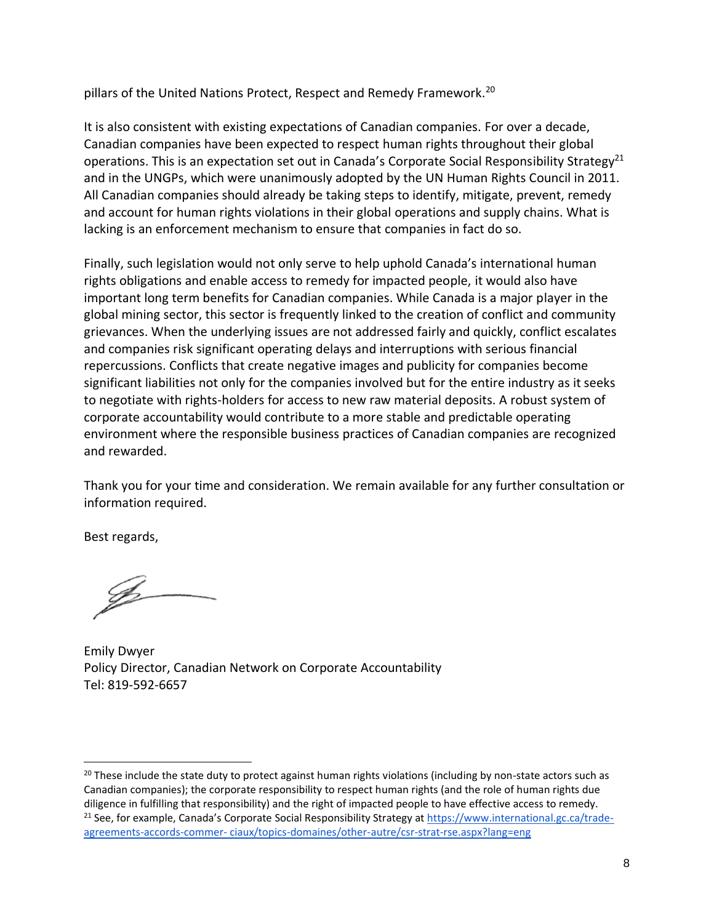pillars of the United Nations Protect, Respect and Remedy Framework.<sup>20</sup>

It is also consistent with existing expectations of Canadian companies. For over a decade, Canadian companies have been expected to respect human rights throughout their global operations. This is an expectation set out in Canada's Corporate Social Responsibility Strategy<sup>21</sup> and in the UNGPs, which were unanimously adopted by the UN Human Rights Council in 2011. All Canadian companies should already be taking steps to identify, mitigate, prevent, remedy and account for human rights violations in their global operations and supply chains. What is lacking is an enforcement mechanism to ensure that companies in fact do so.

Finally, such legislation would not only serve to help uphold Canada's international human rights obligations and enable access to remedy for impacted people, it would also have important long term benefits for Canadian companies. While Canada is a major player in the global mining sector, this sector is frequently linked to the creation of conflict and community grievances. When the underlying issues are not addressed fairly and quickly, conflict escalates and companies risk significant operating delays and interruptions with serious financial repercussions. Conflicts that create negative images and publicity for companies become significant liabilities not only for the companies involved but for the entire industry as it seeks to negotiate with rights-holders for access to new raw material deposits. A robust system of corporate accountability would contribute to a more stable and predictable operating environment where the responsible business practices of Canadian companies are recognized and rewarded.

Thank you for your time and consideration. We remain available for any further consultation or information required.

Best regards,

Emily Dwyer Policy Director, Canadian Network on Corporate Accountability Tel: 819-592-6657

<sup>&</sup>lt;sup>20</sup> These include the state duty to protect against human rights violations (including by non-state actors such as Canadian companies); the corporate responsibility to respect human rights (and the role of human rights due diligence in fulfilling that responsibility) and the right of impacted people to have effective access to remedy. <sup>21</sup> See, for example, Canada's Corporate Social Responsibility Strategy at [https://www.international.gc.ca/trade](https://www.international.gc.ca/trade-agreements-accords-commer-)agreements-accords-commer- [ciaux/topics-domaines/other-autre/csr-strat-rse.aspx?lang=eng](https://www.international.gc.ca/trade-agreements-accords-commer-)